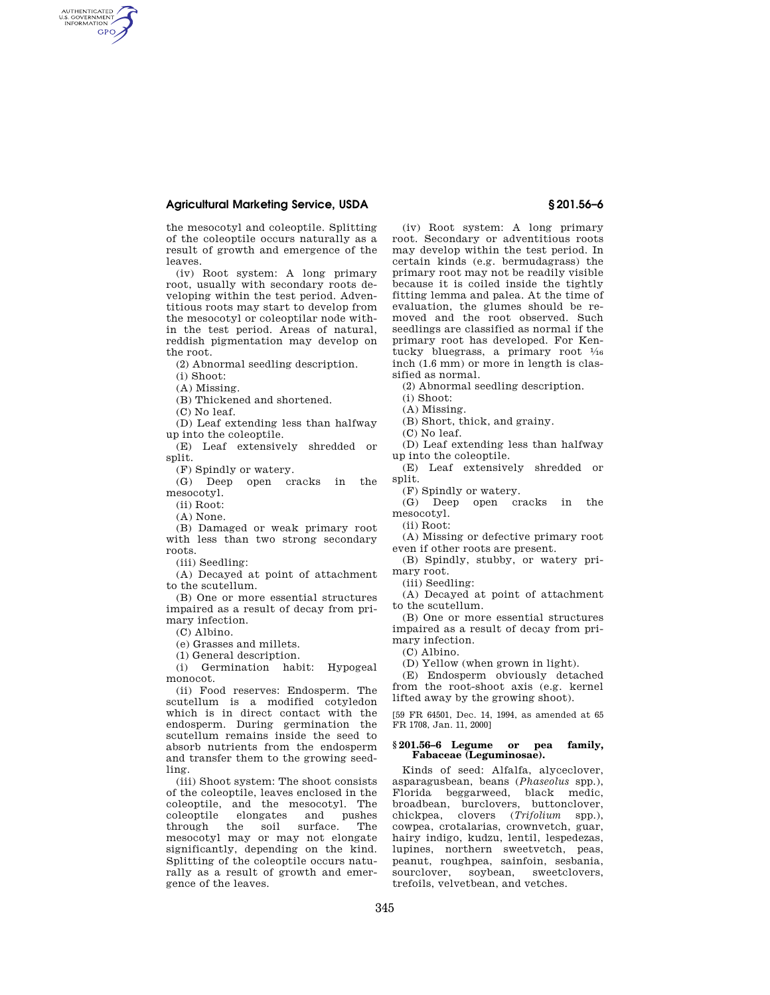## **Agricultural Marketing Service, USDA § 201.56–6**

the mesocotyl and coleoptile. Splitting of the coleoptile occurs naturally as a result of growth and emergence of the leaves.

(iv) Root system: A long primary root, usually with secondary roots developing within the test period. Adventitious roots may start to develop from the mesocotyl or coleoptilar node within the test period. Areas of natural, reddish pigmentation may develop on the root.

(2) Abnormal seedling description.

(i) Shoot:

AUTHENTICATED<br>U.S. GOVERNMENT<br>INFORMATION **GPO** 

(A) Missing.

(B) Thickened and shortened.

(C) No leaf.

(D) Leaf extending less than halfway up into the coleoptile.

(E) Leaf extensively shredded or split.

(F) Spindly or watery.

(G) Deep open cracks in the mesocotyl.

(ii) Root:

(A) None.

(B) Damaged or weak primary root with less than two strong secondary roots.

(iii) Seedling:

(A) Decayed at point of attachment to the scutellum.

(B) One or more essential structures impaired as a result of decay from primary infection.

(C) Albino.

(e) Grasses and millets.

(1) General description.

(i) Germination habit: Hypogeal monocot.

(ii) Food reserves: Endosperm. The scutellum is a modified cotyledon which is in direct contact with the endosperm. During germination the scutellum remains inside the seed to absorb nutrients from the endosperm and transfer them to the growing seedling.

(iii) Shoot system: The shoot consists of the coleoptile, leaves enclosed in the coleoptile, and the mesocotyl. The coleoptile elongates and pushes the soil surface. mesocotyl may or may not elongate significantly, depending on the kind. Splitting of the coleoptile occurs naturally as a result of growth and emergence of the leaves.

(iv) Root system: A long primary root. Secondary or adventitious roots may develop within the test period. In certain kinds (e.g. bermudagrass) the primary root may not be readily visible because it is coiled inside the tightly fitting lemma and palea. At the time of evaluation, the glumes should be removed and the root observed. Such seedlings are classified as normal if the primary root has developed. For Kentucky bluegrass, a primary root  $\frac{1}{16}$ inch (1.6 mm) or more in length is classified as normal.

(2) Abnormal seedling description.

(i) Shoot:

(A) Missing.

(B) Short, thick, and grainy.

(C) No leaf.

(D) Leaf extending less than halfway up into the coleoptile.

(E) Leaf extensively shredded or split.

(F) Spindly or watery.

(G) Deep open cracks in the mesocotyl.

(ii) Root:

(A) Missing or defective primary root even if other roots are present.

(B) Spindly, stubby, or watery primary root.

(iii) Seedling:

(A) Decayed at point of attachment to the scutellum.

(B) One or more essential structures impaired as a result of decay from primary infection.

(C) Albino.

(D) Yellow (when grown in light).

(E) Endosperm obviously detached from the root-shoot axis (e.g. kernel lifted away by the growing shoot).

[59 FR 64501, Dec. 14, 1994, as amended at 65 FR 1708, Jan. 11, 2000]

#### **§ 201.56–6 Legume or pea family, Fabaceae (Leguminosae).**

Kinds of seed: Alfalfa, alyceclover, asparagusbean, beans (*Phaseolus* spp.), Florida beggarweed, black medic, broadbean, burclovers, buttonclover, chickpea, clovers (*Trifolium* spp.), cowpea, crotalarias, crownvetch, guar, hairy indigo, kudzu, lentil, lespedezas, lupines, northern sweetvetch, peas, peanut, roughpea, sainfoin, sesbania, sourclover, soybean, sweetclovers, trefoils, velvetbean, and vetches.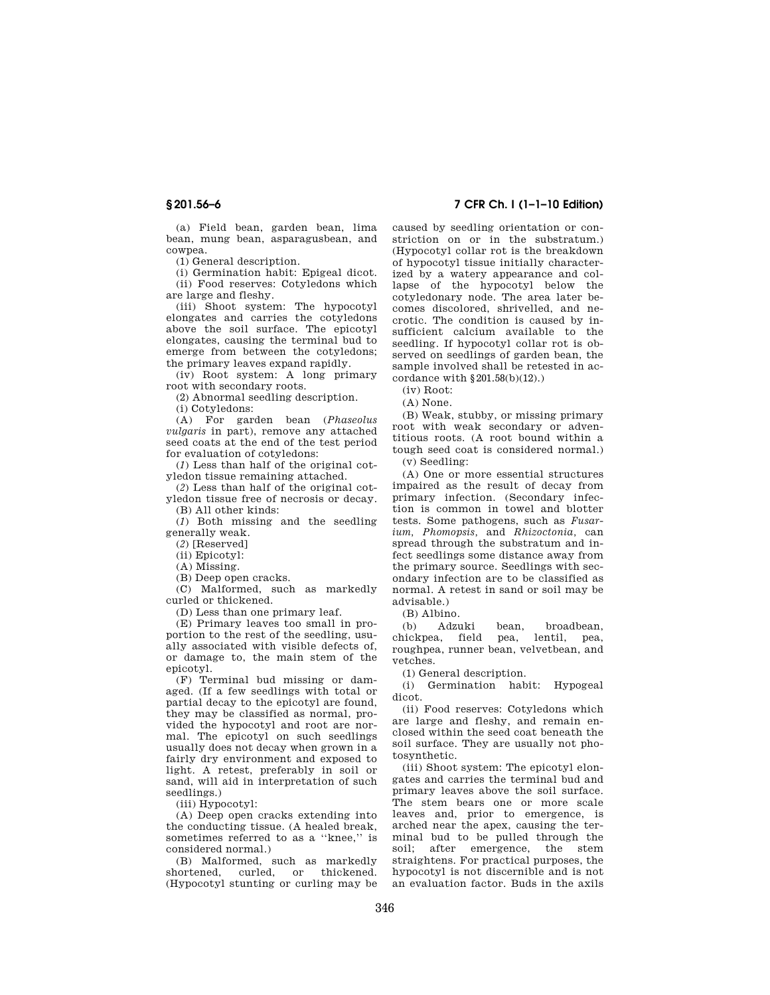(a) Field bean, garden bean, lima bean, mung bean, asparagusbean, and cowpea.

(1) General description.

(i) Germination habit: Epigeal dicot. (ii) Food reserves: Cotyledons which are large and fleshy.

(iii) Shoot system: The hypocotyl elongates and carries the cotyledons above the soil surface. The epicotyl elongates, causing the terminal bud to emerge from between the cotyledons; the primary leaves expand rapidly.

(iv) Root system: A long primary root with secondary roots.

(2) Abnormal seedling description.

(i) Cotyledons:

(A) For garden bean (*Phaseolus vulgaris* in part), remove any attached seed coats at the end of the test period for evaluation of cotyledons:

(*1*) Less than half of the original cotyledon tissue remaining attached.

(*2*) Less than half of the original cotyledon tissue free of necrosis or decay.

(B) All other kinds:

(*1*) Both missing and the seedling generally weak.

(*2*) [Reserved]

(ii) Epicotyl:

(A) Missing.

(B) Deep open cracks.

(C) Malformed, such as markedly curled or thickened.

(D) Less than one primary leaf.

(E) Primary leaves too small in proportion to the rest of the seedling, usually associated with visible defects of, or damage to, the main stem of the epicotyl.

(F) Terminal bud missing or damaged. (If a few seedlings with total or partial decay to the epicotyl are found, they may be classified as normal, provided the hypocotyl and root are normal. The epicotyl on such seedlings usually does not decay when grown in a fairly dry environment and exposed to light. A retest, preferably in soil or sand, will aid in interpretation of such seedlings.)

(iii) Hypocotyl:

(A) Deep open cracks extending into the conducting tissue. (A healed break, sometimes referred to as a ''knee,'' is considered normal.)

(B) Malformed, such as markedly shortened, curled, or thickened. (Hypocotyl stunting or curling may be

# **§ 201.56–6 7 CFR Ch. I (1–1–10 Edition)**

caused by seedling orientation or constriction on or in the substratum.) (Hypocotyl collar rot is the breakdown of hypocotyl tissue initially characterized by a watery appearance and collapse of the hypocotyl below the cotyledonary node. The area later becomes discolored, shrivelled, and necrotic. The condition is caused by insufficient calcium available to the seedling. If hypocotyl collar rot is observed on seedlings of garden bean, the sample involved shall be retested in accordance with §201.58(b)(12).)

(iv) Root:

(A) None.

(B) Weak, stubby, or missing primary root with weak secondary or adventitious roots. (A root bound within a tough seed coat is considered normal.) (v) Seedling:

(A) One or more essential structures impaired as the result of decay from primary infection. (Secondary infection is common in towel and blotter tests. Some pathogens, such as *Fusarium, Phomopsis,* and *Rhizoctonia,* can spread through the substratum and infect seedlings some distance away from the primary source. Seedlings with secondary infection are to be classified as normal. A retest in sand or soil may be advisable.)

(B) Albino.

(b) Adzuki bean, broadbean chickpea, field pea, lentil, pea, roughpea, runner bean, velvetbean, and vetches.

(1) General description.

(i) Germination habit: Hypogeal dicot.

(ii) Food reserves: Cotyledons which are large and fleshy, and remain enclosed within the seed coat beneath the soil surface. They are usually not photosynthetic.

(iii) Shoot system: The epicotyl elongates and carries the terminal bud and primary leaves above the soil surface. The stem bears one or more scale leaves and, prior to emergence, is arched near the apex, causing the terminal bud to be pulled through the soil; after emergence, the stem straightens. For practical purposes, the hypocotyl is not discernible and is not an evaluation factor. Buds in the axils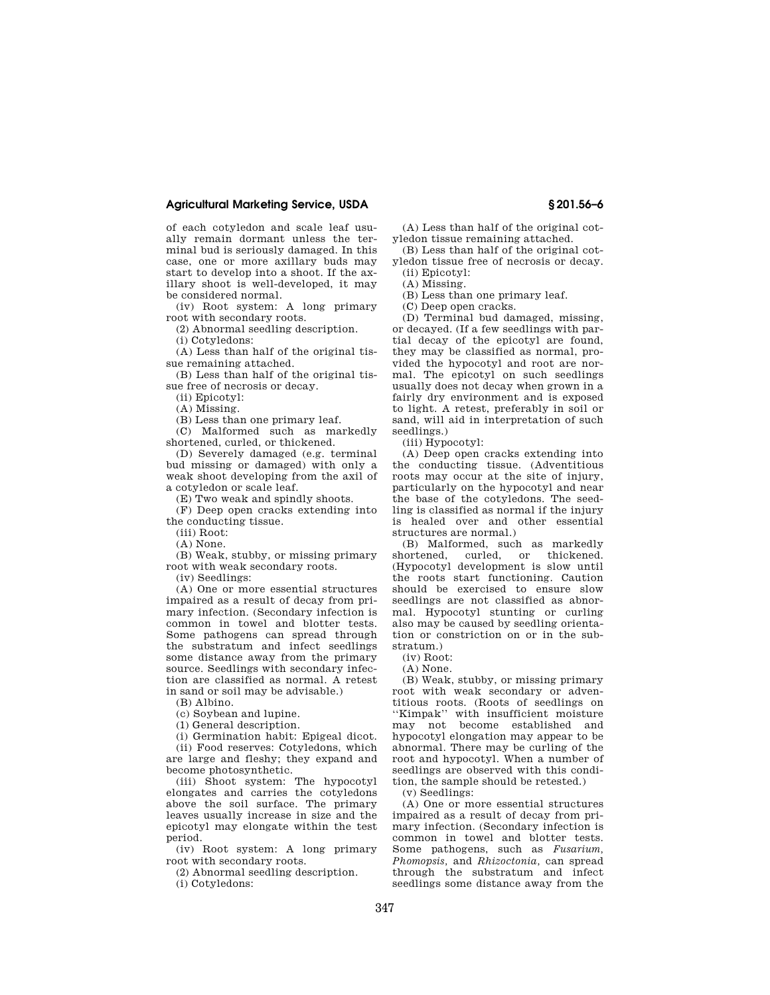### **Agricultural Marketing Service, USDA § 201.56–6**

of each cotyledon and scale leaf usually remain dormant unless the terminal bud is seriously damaged. In this case, one or more axillary buds may start to develop into a shoot. If the axillary shoot is well-developed, it may be considered normal.

(iv) Root system: A long primary root with secondary roots.

(2) Abnormal seedling description.

(i) Cotyledons:

(A) Less than half of the original tissue remaining attached.

(B) Less than half of the original tissue free of necrosis or decay.

(ii) Epicotyl:

(A) Missing.

(B) Less than one primary leaf.

(C) Malformed such as markedly shortened, curled, or thickened.

(D) Severely damaged (e.g. terminal bud missing or damaged) with only a weak shoot developing from the axil of a cotyledon or scale leaf.

(E) Two weak and spindly shoots.

(F) Deep open cracks extending into the conducting tissue.

(iii) Root:

(A) None.

(B) Weak, stubby, or missing primary root with weak secondary roots.

(iv) Seedlings:

(A) One or more essential structures impaired as a result of decay from primary infection. (Secondary infection is common in towel and blotter tests. Some pathogens can spread through the substratum and infect seedlings some distance away from the primary source. Seedlings with secondary infection are classified as normal. A retest in sand or soil may be advisable.)

(B) Albino.

(c) Soybean and lupine.

(1) General description.

(i) Germination habit: Epigeal dicot.

(ii) Food reserves: Cotyledons, which are large and fleshy; they expand and become photosynthetic.

(iii) Shoot system: The hypocotyl elongates and carries the cotyledons above the soil surface. The primary leaves usually increase in size and the epicotyl may elongate within the test period.

(iv) Root system: A long primary root with secondary roots.

(2) Abnormal seedling description.

(i) Cotyledons:

(A) Less than half of the original cotyledon tissue remaining attached.

(B) Less than half of the original cotyledon tissue free of necrosis or decay. (ii) Epicotyl:

(A) Missing.

(B) Less than one primary leaf.

(C) Deep open cracks.

(D) Terminal bud damaged, missing, or decayed. (If a few seedlings with partial decay of the epicotyl are found, they may be classified as normal, provided the hypocotyl and root are normal. The epicotyl on such seedlings usually does not decay when grown in a fairly dry environment and is exposed to light. A retest, preferably in soil or sand, will aid in interpretation of such seedlings.)

(iii) Hypocotyl:

(A) Deep open cracks extending into the conducting tissue. (Adventitious roots may occur at the site of injury, particularly on the hypocotyl and near the base of the cotyledons. The seedling is classified as normal if the injury is healed over and other essential structures are normal.)

(B) Malformed, such as markedly shortened, curled, or thickened. (Hypocotyl development is slow until the roots start functioning. Caution should be exercised to ensure slow seedlings are not classified as abnormal. Hypocotyl stunting or curling also may be caused by seedling orientation or constriction on or in the substratum.)

(iv) Root:

 $(A)$  None.

(B) Weak, stubby, or missing primary root with weak secondary or adventitious roots. (Roots of seedlings on ''Kimpak'' with insufficient moisture may not become established and hypocotyl elongation may appear to be abnormal. There may be curling of the root and hypocotyl. When a number of seedlings are observed with this condition, the sample should be retested.)

(v) Seedlings:

(A) One or more essential structures impaired as a result of decay from primary infection. (Secondary infection is common in towel and blotter tests. Some pathogens, such as *Fusarium, Phomopsis,* and *Rhizoctonia,* can spread through the substratum and infect seedlings some distance away from the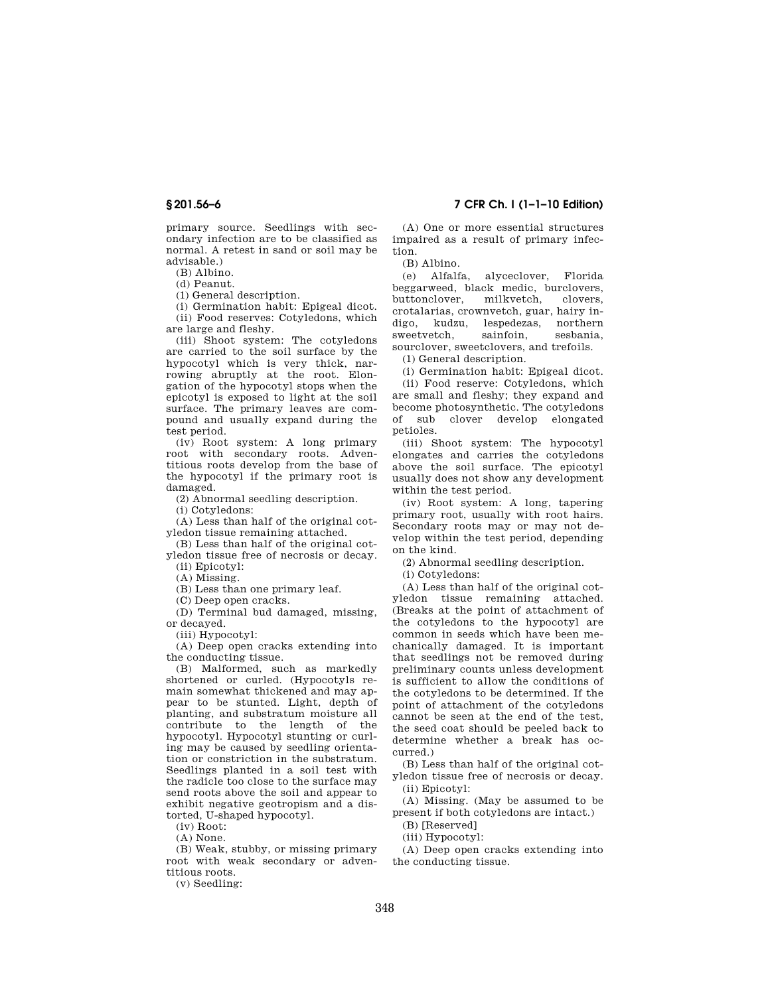primary source. Seedlings with secondary infection are to be classified as normal. A retest in sand or soil may be advisable.)

(B) Albino.

(d) Peanut.

(1) General description.

(i) Germination habit: Epigeal dicot. (ii) Food reserves: Cotyledons, which

are large and fleshy.

(iii) Shoot system: The cotyledons are carried to the soil surface by the hypocotyl which is very thick, narrowing abruptly at the root. Elongation of the hypocotyl stops when the epicotyl is exposed to light at the soil surface. The primary leaves are compound and usually expand during the test period.

(iv) Root system: A long primary root with secondary roots. Adventitious roots develop from the base of the hypocotyl if the primary root is damaged.

(2) Abnormal seedling description.

(i) Cotyledons:

(A) Less than half of the original cotyledon tissue remaining attached.

(B) Less than half of the original cotyledon tissue free of necrosis or decay.

(ii) Epicotyl:

(A) Missing.

(B) Less than one primary leaf.

(C) Deep open cracks.

(D) Terminal bud damaged, missing, or decayed.

(iii) Hypocotyl:

(A) Deep open cracks extending into the conducting tissue.

(B) Malformed, such as markedly shortened or curled. (Hypocotyls remain somewhat thickened and may appear to be stunted. Light, depth of planting, and substratum moisture all contribute to the length of the hypocotyl. Hypocotyl stunting or curling may be caused by seedling orientation or constriction in the substratum. Seedlings planted in a soil test with the radicle too close to the surface may send roots above the soil and appear to exhibit negative geotropism and a distorted, U-shaped hypocotyl.

(iv) Root:

(A) None.

(B) Weak, stubby, or missing primary root with weak secondary or adventitious roots.

(v) Seedling:

**§ 201.56–6 7 CFR Ch. I (1–1–10 Edition)** 

(A) One or more essential structures impaired as a result of primary infection.

(B) Albino.

(e) Alfalfa, alyceclover, Florida beggarweed, black medic, burclovers, buttonclover, milkvetch, clovers, crotalarias, crownvetch, guar, hairy indigo, kudzu, lespedezas, northern sweetvetch, sainfoin, sesbania, sourclover, sweetclovers, and trefoils.

(1) General description.

(i) Germination habit: Epigeal dicot. (ii) Food reserve: Cotyledons, which are small and fleshy; they expand and become photosynthetic. The cotyledons of sub clover develop elongated petioles.

(iii) Shoot system: The hypocotyl elongates and carries the cotyledons above the soil surface. The epicotyl usually does not show any development within the test period.

(iv) Root system: A long, tapering primary root, usually with root hairs. Secondary roots may or may not develop within the test period, depending on the kind.

(2) Abnormal seedling description.

(i) Cotyledons:

(A) Less than half of the original cotyledon tissue remaining attached. (Breaks at the point of attachment of the cotyledons to the hypocotyl are common in seeds which have been mechanically damaged. It is important that seedlings not be removed during preliminary counts unless development is sufficient to allow the conditions of the cotyledons to be determined. If the point of attachment of the cotyledons cannot be seen at the end of the test, the seed coat should be peeled back to determine whether a break has occurred.)

(B) Less than half of the original cotyledon tissue free of necrosis or decay. (ii) Epicotyl:

(A) Missing. (May be assumed to be present if both cotyledons are intact.)

(B) [Reserved]

(iii) Hypocotyl:

(A) Deep open cracks extending into the conducting tissue.